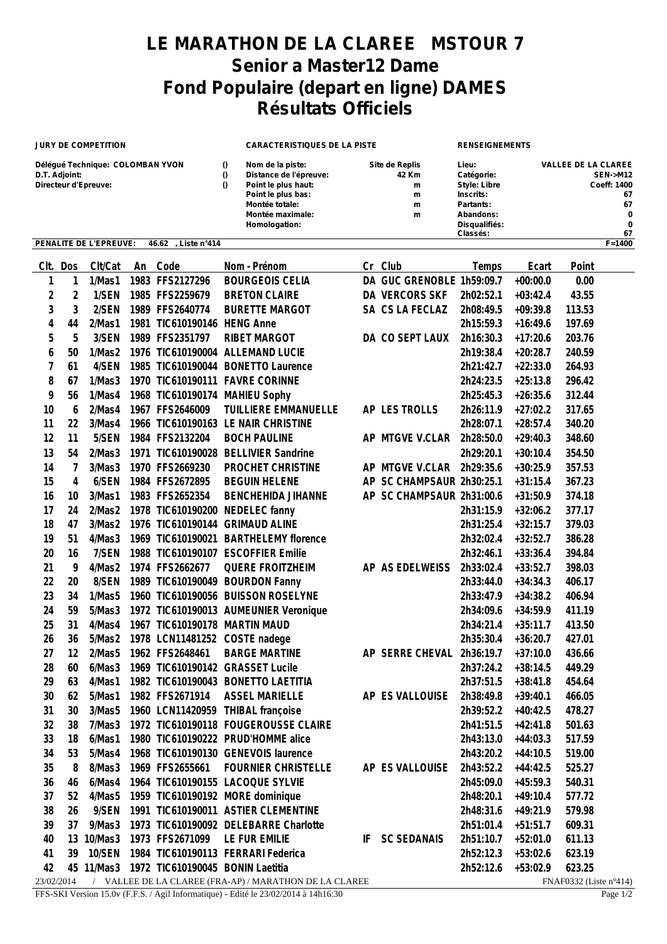## **LE MARATHON DE LA CLAREE MSTOUR 7 Senior a Master12 Dame Fond Populaire (depart en ligne) DAMES Résultats Officiels**

| <b>JURY DE COMPETITION</b>                                                |                |                  |      |                                                  | <b>CARACTERISTIQUES DE LA PISTE</b> |                                                                                                                                                |    |                                             | <b>RENSEIGNEMENTS</b>                                                                                          |                                                                                             |                  |  |
|---------------------------------------------------------------------------|----------------|------------------|------|--------------------------------------------------|-------------------------------------|------------------------------------------------------------------------------------------------------------------------------------------------|----|---------------------------------------------|----------------------------------------------------------------------------------------------------------------|---------------------------------------------------------------------------------------------|------------------|--|
| Délégué Technique: COLOMBAN YVON<br>D.T. Adjoint:<br>Directeur d'Epreuve: |                |                  |      |                                                  |                                     | Nom de la piste:<br>Distance de l'épreuve:<br>Point le plus haut:<br>Point le plus bas:<br>Montée totale:<br>Montée maximale:<br>Homologation: |    | Site de Replis<br>42 Km<br>m<br>m<br>m<br>m | Lieu:<br>Catégorie:<br>Style: Libre<br>Inscrits:<br>Partants:<br>Abandons:<br>Disqualifiés:<br><b>Classés:</b> | <b>VALLEE DE LA CLAREE</b><br><b>SEN-&gt;M12</b><br>Coeff: 1400<br>67<br>67<br>0<br>0<br>67 |                  |  |
| PENALITE DE L'EPREUVE:<br>46.62<br>, Liste n°414                          |                |                  |      |                                                  |                                     |                                                                                                                                                |    |                                             |                                                                                                                |                                                                                             | $F = 1400$       |  |
| CIt.                                                                      | Dos            | Clt/Cat          | An   | Code                                             |                                     | Nom - Prénom                                                                                                                                   |    | Cr Club                                     | Temps                                                                                                          | Ecart                                                                                       | Point            |  |
| 1                                                                         | 1              | 1/Mas1           |      | 1983 FFS2127296                                  |                                     | <b>BOURGEOIS CELIA</b>                                                                                                                         |    | DA GUC GRENOBLE 1h59:09.7                   |                                                                                                                | $+00:00.0$                                                                                  | 0.00             |  |
| $\overline{2}$                                                            | $\overline{2}$ | 1/SEN            |      | 1985 FFS2259679                                  |                                     | <b>BRETON CLAIRE</b>                                                                                                                           |    | DA VERCORS SKF                              | 2h02:52.1                                                                                                      | $+03:42.4$                                                                                  | 43.55            |  |
| 3                                                                         | 3              | 2/SEN            |      | 1989 FFS2640774                                  |                                     | <b>BURETTE MARGOT</b>                                                                                                                          |    | SA CS LA FECLAZ                             | 2h08:49.5                                                                                                      | $+09:39.8$                                                                                  | 113.53           |  |
| 4                                                                         | 44             | 2/Mas1           | 1981 | TIC610190146 HENG Anne                           |                                     |                                                                                                                                                |    |                                             | 2h15:59.3                                                                                                      | $+16:49.6$                                                                                  | 197.69           |  |
| 5                                                                         | 5              | 3/SEN            |      | 1989 FFS2351797                                  |                                     | <b>RIBET MARGOT</b>                                                                                                                            |    | DA CO SEPT LAUX                             | 2h16:30.3                                                                                                      | $+17:20.6$                                                                                  | 203.76           |  |
| 6                                                                         | 50             | 1/Mas2           |      | 1976 TIC610190004 ALLEMAND LUCIE                 |                                     |                                                                                                                                                |    |                                             | 2h19:38.4                                                                                                      | $+20:28.7$                                                                                  | 240.59           |  |
| $\overline{1}$                                                            | 61             | 4/SEN            |      |                                                  |                                     | 1985 TIC610190044 BONETTO Laurence                                                                                                             |    |                                             | 2h21:42.7                                                                                                      | $+22:33.0$                                                                                  | 264.93           |  |
| 8                                                                         | 67             | 1/Mas3           |      | 1970 TIC610190111 FAVRE CORINNE                  |                                     |                                                                                                                                                |    |                                             | 2h24:23.5                                                                                                      | $+25:13.8$                                                                                  | 296.42           |  |
| 9                                                                         | 56             | 1/Mas4           |      | 1968 TIC610190174 MAHIEU Sophy                   |                                     |                                                                                                                                                |    |                                             | 2h25:45.3                                                                                                      | $+26:35.6$                                                                                  | 312.44           |  |
| 10                                                                        | 6              | 2/Mas4           |      | 1967 FFS2646009                                  |                                     | <b>TUILLIERE EMMANUELLE</b>                                                                                                                    |    | AP LES TROLLS                               | 2h26:11.9                                                                                                      | $+27:02.2$                                                                                  | 317.65           |  |
| 11                                                                        | 22             | 3/Mas4           |      |                                                  |                                     | 1966 TIC610190163 LE NAIR CHRISTINE                                                                                                            |    |                                             | 2h28:07.1                                                                                                      | $+28:57.4$                                                                                  | 340.20           |  |
| 12                                                                        | 11             | 5/SEN            |      | 1984 FFS2132204                                  |                                     | <b>BOCH PAULINE</b>                                                                                                                            |    | AP MTGVE V.CLAR                             | 2h28:50.0                                                                                                      | $+29:40.3$                                                                                  | 348.60           |  |
| 13                                                                        | 54             | 2/Mas3           | 1971 |                                                  |                                     | TIC610190028 BELLIVIER Sandrine                                                                                                                |    |                                             | 2h29:20.1                                                                                                      | $+30:10.4$                                                                                  | 354.50           |  |
| 14                                                                        | 7              | 3/Mas3           |      | 1970 FFS2669230                                  |                                     | PROCHET CHRISTINE                                                                                                                              |    | AP MTGVE V.CLAR                             | 2h29:35.6                                                                                                      | $+30:25.9$                                                                                  | 357.53           |  |
| 15                                                                        | 4              | 6/SEN            |      | 1984 FFS2672895                                  |                                     | <b>BEGUIN HELENE</b>                                                                                                                           |    | AP SC CHAMPSAUR 2h30:25.1                   |                                                                                                                | $+31:15.4$                                                                                  | 367.23           |  |
| 16                                                                        | 10             | 3/Mas1           |      | 1983 FFS2652354                                  |                                     | <b>BENCHEHIDA JIHANNE</b>                                                                                                                      |    | AP SC CHAMPSAUR 2h31:00.6                   |                                                                                                                | $+31:50.9$                                                                                  | 374.18           |  |
| 17                                                                        | 24             | 2/Mas2           | 1978 | TIC610190200 NEDELEC fanny                       |                                     |                                                                                                                                                |    |                                             | 2h31:15.9                                                                                                      | $+32:06.2$                                                                                  | 377.17           |  |
| 18                                                                        | 47             | 3/Mas2           | 1976 | TIC610190144 GRIMAUD ALINE                       |                                     |                                                                                                                                                |    |                                             | 2h31:25.4                                                                                                      | $+32:15.7$                                                                                  | 379.03           |  |
| 19                                                                        | 51             | 4/Mas3           | 1969 | TIC610190021                                     |                                     | <b>BARTHELEMY</b> florence                                                                                                                     |    |                                             | 2h32:02.4                                                                                                      | $+32:52.7$                                                                                  | 386.28           |  |
| 20                                                                        | 16             | 7/SEN            |      | 1988 TIC610190107 ESCOFFIER Emilie               |                                     |                                                                                                                                                |    |                                             | 2h32:46.1                                                                                                      | $+33:36.4$                                                                                  | 394.84           |  |
| 21                                                                        | 9              | 4/Mas2           |      | 1974 FFS2662677                                  |                                     | <b>QUERE FROITZHEIM</b>                                                                                                                        |    | AP AS EDELWEISS                             | 2h33:02.4                                                                                                      | $+33:52.7$                                                                                  | 398.03           |  |
| 22                                                                        | 20             | 8/SEN            |      | 1989 TIC610190049 BOURDON Fanny                  |                                     |                                                                                                                                                |    |                                             | 2h33:44.0                                                                                                      | $+34:34.3$                                                                                  | 406.17           |  |
| 23                                                                        | 34             | 1/Mas5           |      |                                                  |                                     | 1960 TIC610190056 BUISSON ROSELYNE                                                                                                             |    |                                             | 2h33:47.9                                                                                                      | $+34:38.2$                                                                                  | 406.94           |  |
| 24                                                                        | 59             | 5/Mas3           |      |                                                  |                                     | 1972 TIC610190013 AUMEUNIER Veronique                                                                                                          |    |                                             | 2h34:09.6                                                                                                      | $+34:59.9$                                                                                  | 411.19           |  |
| 25<br>26                                                                  | 31<br>36       | 4/Mas4<br>5/Mas2 |      | 1967 TIC610190178 MARTIN MAUD                    |                                     |                                                                                                                                                |    |                                             | 2h34:21.4                                                                                                      | $+35:11.7$<br>$+36:20.7$                                                                    | 413.50<br>427.01 |  |
| 27                                                                        |                |                  |      | 1978 LCN11481252 COSTE nadege<br>1962 FFS2648461 |                                     | <b>BARGE MARTINE</b>                                                                                                                           |    | AP SERRE CHEVAL 2h36:19.7                   | 2h35:30.4                                                                                                      | $+37:10.0$                                                                                  | 436.66           |  |
| 28                                                                        | 12<br>60       | 2/Mas5<br>6/Mas3 |      | 1969 TIC610190142 GRASSET Lucile                 |                                     |                                                                                                                                                |    |                                             | 2h37:24.2                                                                                                      | $+38:14.5$                                                                                  | 449.29           |  |
| 29                                                                        | 63             | 4/Mas1           |      |                                                  |                                     | 1982 TIC610190043 BONETTO LAETITIA                                                                                                             |    |                                             | 2h37:51.5                                                                                                      | $+38:41.8$                                                                                  | 454.64           |  |
| 30                                                                        | 62             | 5/Mas1           |      | 1982 FFS2671914                                  |                                     | <b>ASSEL MARIELLE</b>                                                                                                                          |    | AP ES VALLOUISE                             | 2h38:49.8                                                                                                      | $+39:40.1$                                                                                  | 466.05           |  |
| 31                                                                        | 30             | 3/Mas5           |      | 1960 LCN11420959 THIBAL françoise                |                                     |                                                                                                                                                |    |                                             | 2h39:52.2                                                                                                      | $+40:42.5$                                                                                  | 478.27           |  |
| 32                                                                        | 38             | 7/Mas3           |      |                                                  |                                     | 1972 TIC610190118 FOUGEROUSSE CLAIRE                                                                                                           |    |                                             | 2h41:51.5                                                                                                      | $+42:41.8$                                                                                  | 501.63           |  |
| 33                                                                        | 18             | 6/Mas1           |      |                                                  |                                     | 1980 TIC610190222 PRUD'HOMME alice                                                                                                             |    |                                             | 2h43:13.0                                                                                                      | $+44:03.3$                                                                                  | 517.59           |  |
| 34                                                                        | 53             | 5/Mas4           |      |                                                  |                                     | 1968 TIC610190130 GENEVOIS laurence                                                                                                            |    |                                             | 2h43:20.2                                                                                                      | $+44:10.5$                                                                                  | 519.00           |  |
| 35                                                                        | 8              | 8/Mas3           |      | 1969 FFS2655661                                  |                                     | <b>FOURNIER CHRISTELLE</b>                                                                                                                     |    | AP ES VALLOUISE                             | 2h43:52.2                                                                                                      | $+44:42.5$                                                                                  | 525.27           |  |
| 36                                                                        | 46             | 6/Mas4           |      | 1964 TIC610190155 LACOQUE SYLVIE                 |                                     |                                                                                                                                                |    |                                             | 2h45:09.0                                                                                                      | $+45:59.3$                                                                                  | 540.31           |  |
| 37                                                                        | 52             | 4/Mas5           |      | 1959 TIC610190192 MORE dominique                 |                                     |                                                                                                                                                |    |                                             | 2h48:20.1                                                                                                      | $+49:10.4$                                                                                  | 577.72           |  |
| 38                                                                        | 26             | 9/SEN            |      |                                                  |                                     | 1991 TIC610190011 ASTIER CLEMENTINE                                                                                                            |    |                                             | 2h48:31.6                                                                                                      | $+49:21.9$                                                                                  | 579.98           |  |
| 39                                                                        | 37             | 9/Mas3           |      |                                                  |                                     | 1973 TIC610190092 DELEBARRE Charlotte                                                                                                          |    |                                             | 2h51:01.4                                                                                                      | $+51:51.7$                                                                                  | 609.31           |  |
| 40                                                                        | 13             | 10/Mas3          |      | 1973 FFS2671099                                  |                                     | LE FUR EMILIE                                                                                                                                  | IF | <b>SC SEDANAIS</b>                          | 2h51:10.7                                                                                                      | $+52:01.0$                                                                                  | 611.13           |  |
| 41                                                                        | 39             | 10/SEN           |      | 1984 TIC610190113 FERRARI Federica               |                                     |                                                                                                                                                |    |                                             | 2h52:12.3                                                                                                      | $+53:02.6$                                                                                  | 623.19           |  |
| 42                                                                        |                |                  |      | 45 11/Mas3 1972 TIC610190045 BONIN Laetitia      |                                     |                                                                                                                                                |    |                                             | 2h52:12.6                                                                                                      | $+53:02.9$                                                                                  | 623.25           |  |
| / VALLEE DE LA CLAREE (FRA-AP) / MARATHON DE LA CLAREE<br>23/02/2014      |                |                  |      |                                                  |                                     |                                                                                                                                                |    |                                             | FNAF0332 (Liste n°414)                                                                                         |                                                                                             |                  |  |

FFS-SKI Version 15.0v (F.F.S. / Agil Informatique) - Edité le 23/02/2014 à 14h16:30 Page 1/2